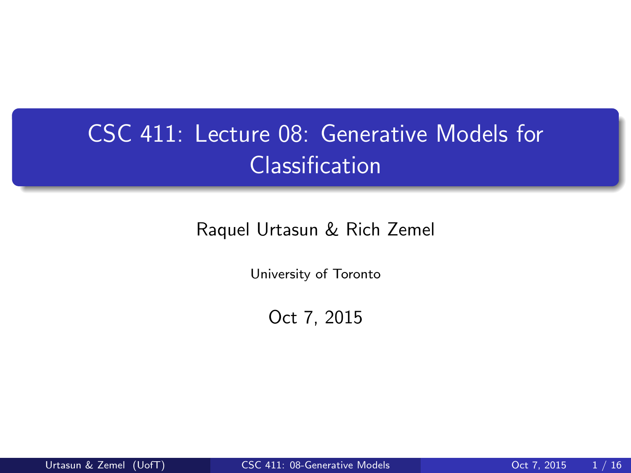# CSC 411: Lecture 08: Generative Models for Classification

Raquel Urtasun & Rich Zemel

University of Toronto

<span id="page-0-0"></span>Oct 7, 2015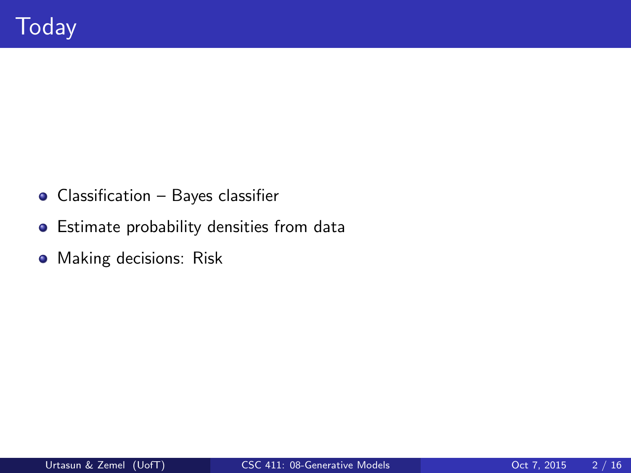- Classification Bayes classifier
- **•** Estimate probability densities from data
- **•** Making decisions: Risk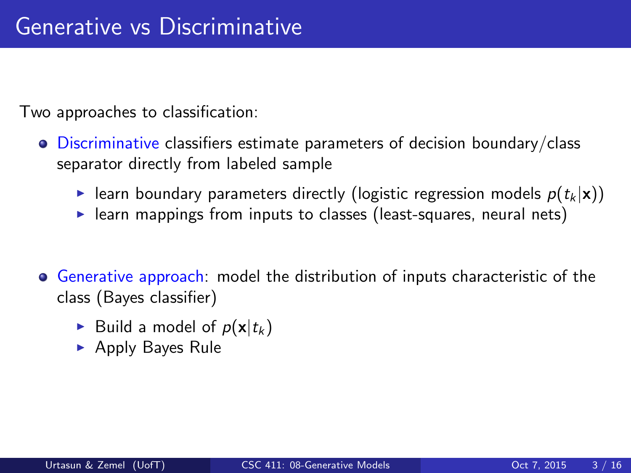Two approaches to classification:

- Discriminative classifiers estimate parameters of decision boundary/class separator directly from labeled sample
	- learn boundary parameters directly (logistic regression models  $p(t_k | \mathbf{x})$ )
	- $\blacktriangleright$  learn mappings from inputs to classes (least-squares, neural nets)
- Generative approach: model the distribution of inputs characteristic of the class (Bayes classifier)
	- Build a model of  $p(\mathbf{x}|t_k)$
	- $\blacktriangleright$  Apply Bayes Rule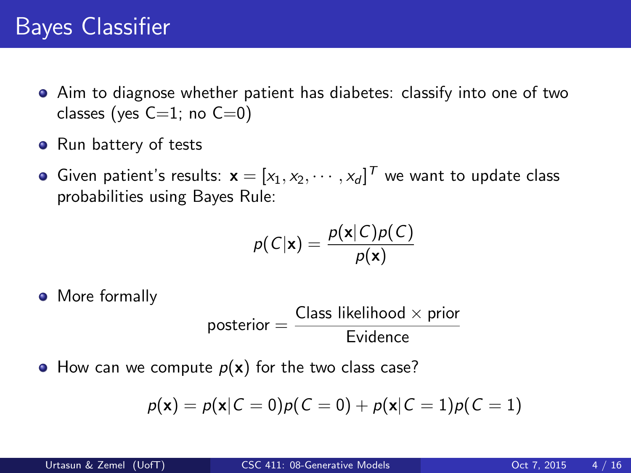## Bayes Classifier

- Aim to diagnose whether patient has diabetes: classify into one of two classes (yes  $C=1$ ; no  $C=0$ )
- Run battery of tests
- Given patient's results:  $\mathbf{x} = [x_1, x_2, \cdots, x_d]^T$  we want to update class probabilities using Bayes Rule:

$$
p(C|\mathbf{x}) = \frac{p(\mathbf{x}|C)p(C)}{p(\mathbf{x})}
$$

• More formally

$$
\text{posterior} = \frac{\text{Class likelihood} \times \text{prior}}{\text{Evidence}}
$$

 $\bullet$  How can we compute  $p(x)$  for the two class case?

$$
p(\mathbf{x}) = p(\mathbf{x}|C = 0)p(C = 0) + p(\mathbf{x}|C = 1)p(C = 1)
$$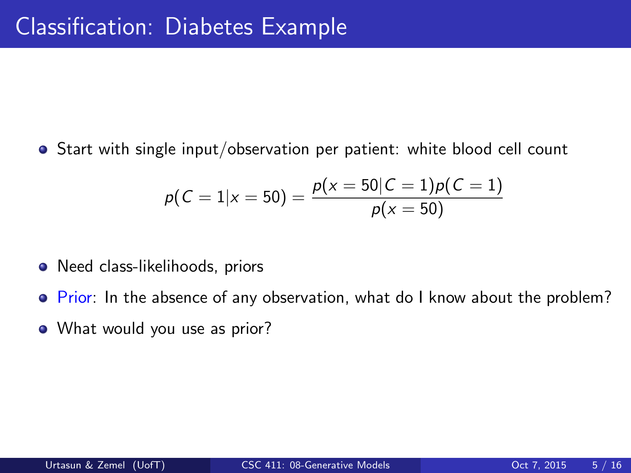• Start with single input/observation per patient: white blood cell count

$$
p(C=1|x=50)=\frac{p(x=50|C=1)p(C=1)}{p(x=50)}
$$

- Need class-likelihoods, priors
- Prior: In the absence of any observation, what do I know about the problem?
- What would you use as prior?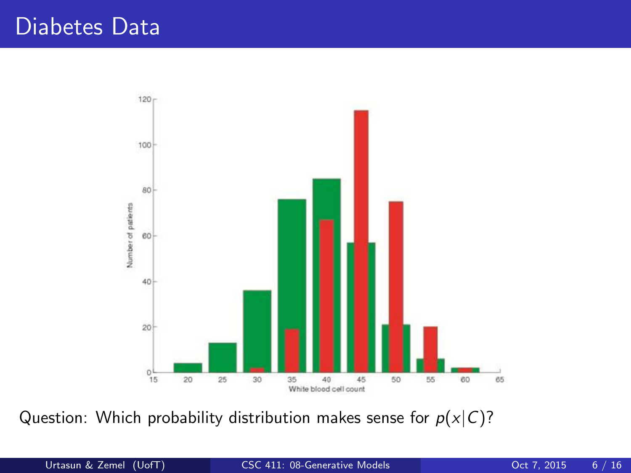

Question: Which probability distribution makes sense for  $p(x|C)$ ?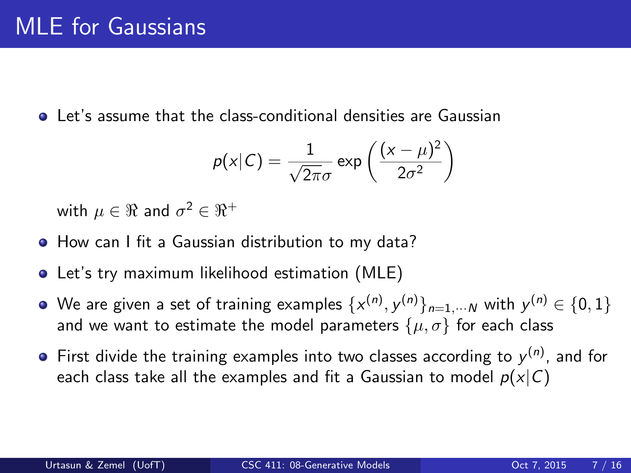Let's assume that the class-conditional densities are Gaussian

$$
p(x|C) = \frac{1}{\sqrt{2\pi}\sigma} \exp\left(\frac{(x-\mu)^2}{2\sigma^2}\right)
$$

with  $\mu\in\Re$  and  $\sigma^2\in\Re^+$ 

- How can I fit a Gaussian distribution to my data?
- Let's try maximum likelihood estimation (MLE)
- We are given a set of training examples  $\{\textsf{x}^{(n)}, \textsf{y}^{(n)}\}_{n=1,\cdots N}$  with  $\textsf{y}^{(n)} \in \{0,1\}$ and we want to estimate the model parameters  $\{\mu, \sigma\}$  for each class
- First divide the training examples into two classes according to  $y^{(n)}$ , and for each class take all the examples and fit a Gaussian to model  $p(x|C)$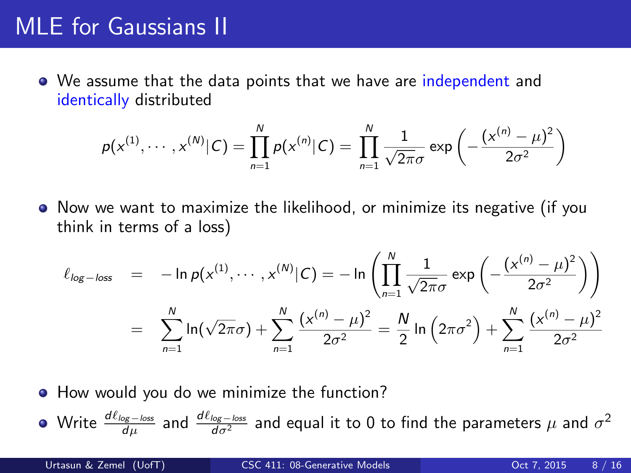#### MLE for Gaussians II

• We assume that the data points that we have are independent and identically distributed

$$
p(x^{(1)}, \cdots, x^{(N)}|C) = \prod_{n=1}^{N} p(x^{(n)}|C) = \prod_{n=1}^{N} \frac{1}{\sqrt{2\pi}\sigma} \exp \left(-\frac{(x^{(n)} - \mu)^2}{2\sigma^2}\right)
$$

Now we want to maximize the likelihood, or minimize its negative (if you think in terms of a loss)

$$
\ell_{\log-\text{loss}} = -\ln p(x^{(1)}, \dots, x^{(N)}|C) = -\ln \left( \prod_{n=1}^{N} \frac{1}{\sqrt{2\pi}\sigma} \exp \left( -\frac{(x^{(n)} - \mu)^2}{2\sigma^2} \right) \right)
$$

$$
= \sum_{n=1}^{N} \ln(\sqrt{2\pi}\sigma) + \sum_{n=1}^{N} \frac{(x^{(n)} - \mu)^2}{2\sigma^2} = \frac{N}{2} \ln \left( 2\pi\sigma^2 \right) + \sum_{n=1}^{N} \frac{(x^{(n)} - \mu)^2}{2\sigma^2}
$$

• How would you do we minimize the function?

Write  $\frac{d\ell_{\log-\text{loss}}}{d\mu}$  and  $\frac{d\ell_{\log-\text{loss}}}{d\sigma^2}$  and equal it to 0 to find the parameters  $\mu$  and  $\sigma^2$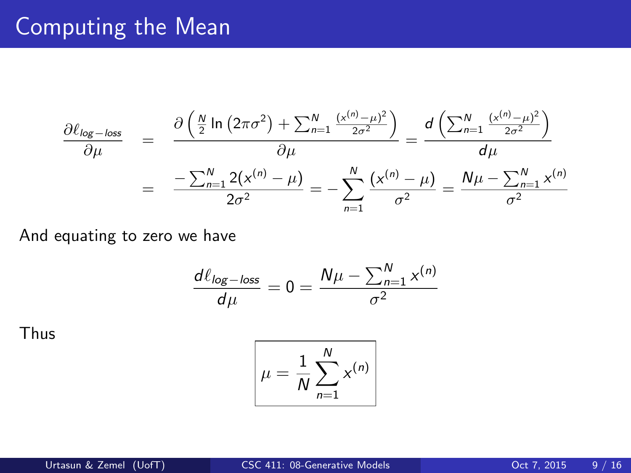## Computing the Mean

$$
\frac{\partial \ell_{\log - \log}}{\partial \mu} = \frac{\partial \left( \frac{N}{2} \ln \left( 2\pi \sigma^2 \right) + \sum_{n=1}^{N} \frac{(x^{(n)} - \mu)^2}{2\sigma^2} \right)}{\partial \mu} = \frac{d \left( \sum_{n=1}^{N} \frac{(x^{(n)} - \mu)^2}{2\sigma^2} \right)}{d\mu}
$$
\n
$$
= \frac{-\sum_{n=1}^{N} 2(x^{(n)} - \mu)}{2\sigma^2} = -\sum_{n=1}^{N} \frac{(x^{(n)} - \mu)}{\sigma^2} = \frac{N\mu - \sum_{n=1}^{N} x^{(n)}}{\sigma^2}
$$

And equating to zero we have

$$
\frac{d\ell_{\log-\text{loss}}}{d\mu} = 0 = \frac{N\mu - \sum_{n=1}^{N} x^{(n)}}{\sigma^2}
$$

Thus

$$
\mu = \frac{1}{N} \sum_{n=1}^{N} x^{(n)}
$$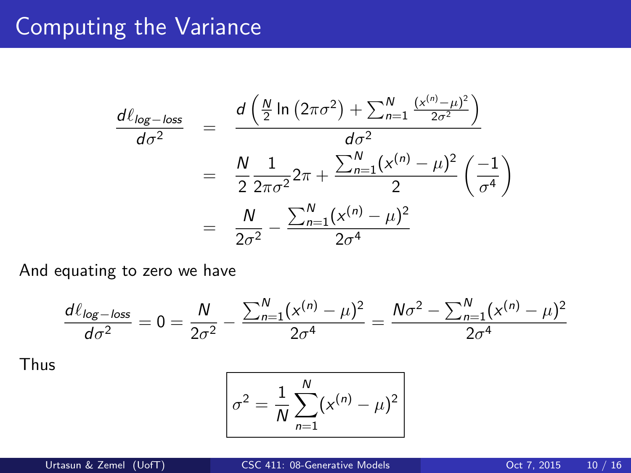## Computing the Variance

$$
\frac{d\ell_{\log-\text{loss}}}{d\sigma^2} = \frac{d\left(\frac{N}{2}\ln\left(2\pi\sigma^2\right) + \sum_{n=1}^{N} \frac{(x^{(n)} - \mu)^2}{2\sigma^2}\right)}{d\sigma^2}
$$
\n
$$
= \frac{N}{2}\frac{1}{2\pi\sigma^2}2\pi + \frac{\sum_{n=1}^{N} (x^{(n)} - \mu)^2}{2}\left(\frac{-1}{\sigma^4}\right)
$$
\n
$$
= \frac{N}{2\sigma^2} - \frac{\sum_{n=1}^{N} (x^{(n)} - \mu)^2}{2\sigma^4}
$$

And equating to zero we have

$$
\frac{d\ell_{\log - \text{loss}}}{d\sigma^2} = 0 = \frac{N}{2\sigma^2} - \frac{\sum_{n=1}^{N} (x^{(n)} - \mu)^2}{2\sigma^4} = \frac{N\sigma^2 - \sum_{n=1}^{N} (x^{(n)} - \mu)^2}{2\sigma^4}
$$

Thus

$$
\sigma^2 = \frac{1}{N} \sum_{n=1}^{N} (x^{(n)} - \mu)^2
$$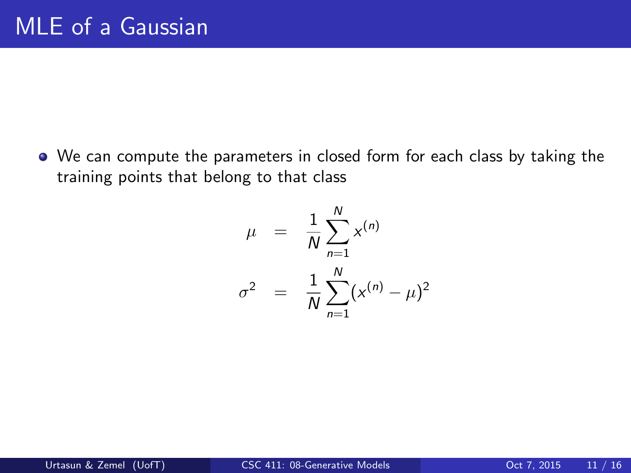We can compute the parameters in closed form for each class by taking the training points that belong to that class

$$
\mu = \frac{1}{N} \sum_{n=1}^{N} x^{(n)}
$$
  

$$
\sigma^2 = \frac{1}{N} \sum_{n=1}^{N} (x^{(n)} - \mu)^2
$$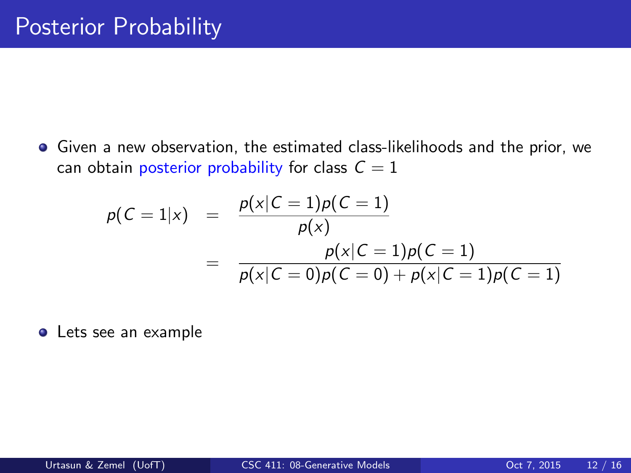Given a new observation, the estimated class-likelihoods and the prior, we can obtain posterior probability for class  $C = 1$ 

$$
p(C = 1|x) = \frac{p(x|C = 1)p(C = 1)}{p(x)}
$$
  
= 
$$
\frac{p(x|C = 1)p(C = 1)}{p(x|C = 0)p(C = 0) + p(x|C = 1)p(C = 1)}
$$

Lets see an example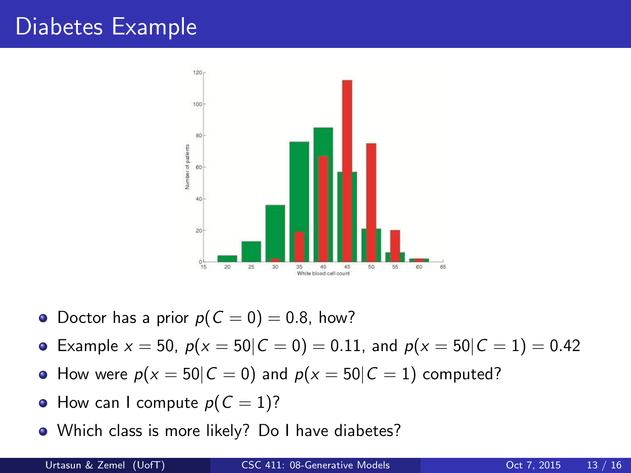## Diabetes Example



- Doctor has a prior  $p(C = 0) = 0.8$ , how?
- Example  $x = 50$ ,  $p(x = 50|C = 0) = 0.11$ , and  $p(x = 50|C = 1) = 0.42$
- How were  $p(x = 50|C = 0)$  and  $p(x = 50|C = 1)$  computed?
- How can I compute  $p(C = 1)$ ?
- Which class is more likely? Do I have diabetes?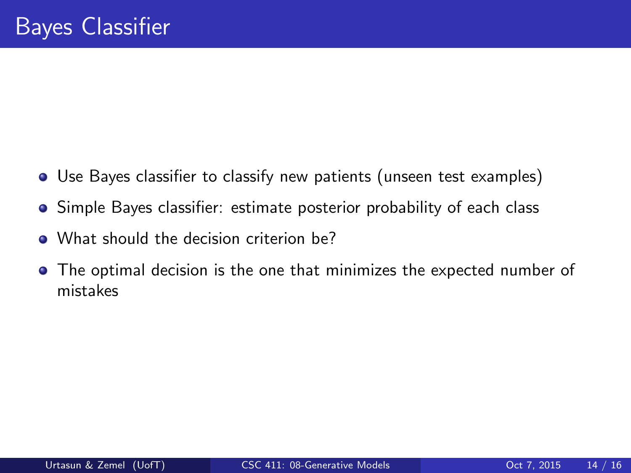- Use Bayes classifier to classify new patients (unseen test examples)
- Simple Bayes classifier: estimate posterior probability of each class
- What should the decision criterion be?
- The optimal decision is the one that minimizes the expected number of mistakes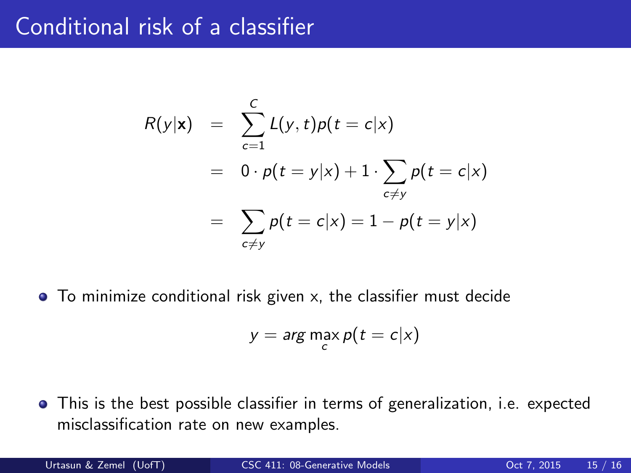#### Conditional risk of a classifier

$$
R(y|\mathbf{x}) = \sum_{c=1}^{C} L(y, t) p(t = c | x)
$$
  
=  $0 \cdot p(t = y | x) + 1 \cdot \sum_{c \neq y} p(t = c | x)$   
=  $\sum_{c \neq y} p(t = c | x) = 1 - p(t = y | x)$ 

• To minimize conditional risk given x, the classifier must decide

$$
y = \arg\max_c p(t = c | x)
$$

This is the best possible classifier in terms of generalization, i.e. expected misclassification rate on new examples.

Urtasun & Zemel (UofT) [CSC 411: 08-Generative Models](#page-0-0) Content of Content 7, 2015 15 / 16